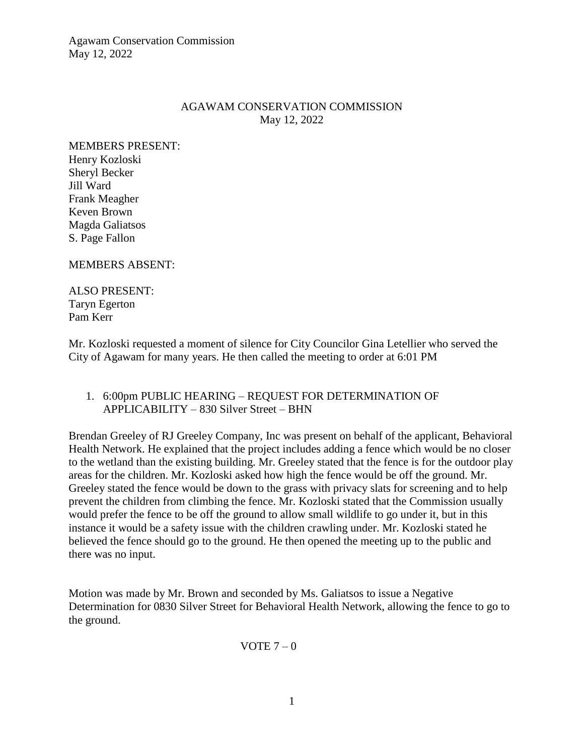### AGAWAM CONSERVATION COMMISSION May 12, 2022

MEMBERS PRESENT: Henry Kozloski Sheryl Becker Jill Ward Frank Meagher Keven Brown Magda Galiatsos S. Page Fallon

MEMBERS ABSENT:

ALSO PRESENT: Taryn Egerton Pam Kerr

Mr. Kozloski requested a moment of silence for City Councilor Gina Letellier who served the City of Agawam for many years. He then called the meeting to order at 6:01 PM

## 1. 6:00pm PUBLIC HEARING – REQUEST FOR DETERMINATION OF APPLICABILITY – 830 Silver Street – BHN

Brendan Greeley of RJ Greeley Company, Inc was present on behalf of the applicant, Behavioral Health Network. He explained that the project includes adding a fence which would be no closer to the wetland than the existing building. Mr. Greeley stated that the fence is for the outdoor play areas for the children. Mr. Kozloski asked how high the fence would be off the ground. Mr. Greeley stated the fence would be down to the grass with privacy slats for screening and to help prevent the children from climbing the fence. Mr. Kozloski stated that the Commission usually would prefer the fence to be off the ground to allow small wildlife to go under it, but in this instance it would be a safety issue with the children crawling under. Mr. Kozloski stated he believed the fence should go to the ground. He then opened the meeting up to the public and there was no input.

Motion was made by Mr. Brown and seconded by Ms. Galiatsos to issue a Negative Determination for 0830 Silver Street for Behavioral Health Network, allowing the fence to go to the ground.

VOTE  $7-0$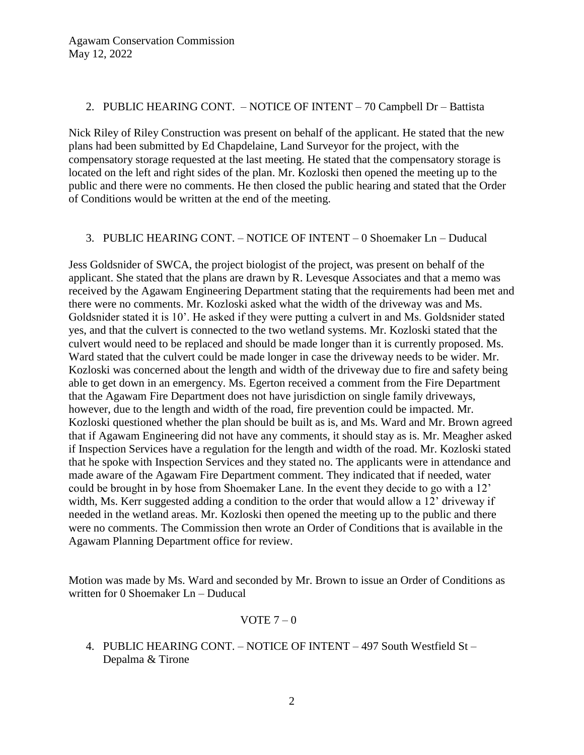#### 2. PUBLIC HEARING CONT. – NOTICE OF INTENT – 70 Campbell Dr – Battista

Nick Riley of Riley Construction was present on behalf of the applicant. He stated that the new plans had been submitted by Ed Chapdelaine, Land Surveyor for the project, with the compensatory storage requested at the last meeting. He stated that the compensatory storage is located on the left and right sides of the plan. Mr. Kozloski then opened the meeting up to the public and there were no comments. He then closed the public hearing and stated that the Order of Conditions would be written at the end of the meeting.

## 3. PUBLIC HEARING CONT. – NOTICE OF INTENT – 0 Shoemaker Ln – Duducal

Jess Goldsnider of SWCA, the project biologist of the project, was present on behalf of the applicant. She stated that the plans are drawn by R. Levesque Associates and that a memo was received by the Agawam Engineering Department stating that the requirements had been met and there were no comments. Mr. Kozloski asked what the width of the driveway was and Ms. Goldsnider stated it is 10'. He asked if they were putting a culvert in and Ms. Goldsnider stated yes, and that the culvert is connected to the two wetland systems. Mr. Kozloski stated that the culvert would need to be replaced and should be made longer than it is currently proposed. Ms. Ward stated that the culvert could be made longer in case the driveway needs to be wider. Mr. Kozloski was concerned about the length and width of the driveway due to fire and safety being able to get down in an emergency. Ms. Egerton received a comment from the Fire Department that the Agawam Fire Department does not have jurisdiction on single family driveways, however, due to the length and width of the road, fire prevention could be impacted. Mr. Kozloski questioned whether the plan should be built as is, and Ms. Ward and Mr. Brown agreed that if Agawam Engineering did not have any comments, it should stay as is. Mr. Meagher asked if Inspection Services have a regulation for the length and width of the road. Mr. Kozloski stated that he spoke with Inspection Services and they stated no. The applicants were in attendance and made aware of the Agawam Fire Department comment. They indicated that if needed, water could be brought in by hose from Shoemaker Lane. In the event they decide to go with a 12' width, Ms. Kerr suggested adding a condition to the order that would allow a 12' driveway if needed in the wetland areas. Mr. Kozloski then opened the meeting up to the public and there were no comments. The Commission then wrote an Order of Conditions that is available in the Agawam Planning Department office for review.

Motion was made by Ms. Ward and seconded by Mr. Brown to issue an Order of Conditions as written for 0 Shoemaker Ln – Duducal

### VOTE  $7-0$

4. PUBLIC HEARING CONT. – NOTICE OF INTENT – 497 South Westfield St – Depalma & Tirone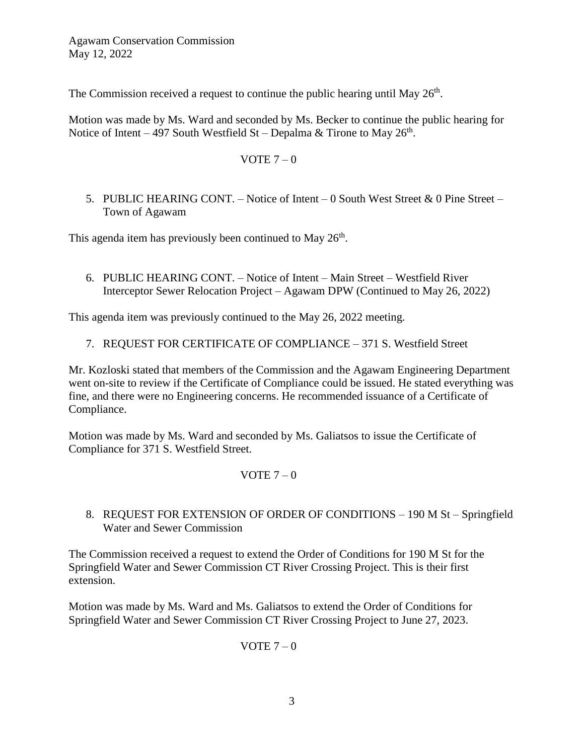The Commission received a request to continue the public hearing until May  $26<sup>th</sup>$ .

Motion was made by Ms. Ward and seconded by Ms. Becker to continue the public hearing for Notice of Intent – 497 South Westfield St – Depalma & Tirone to May  $26<sup>th</sup>$ .

VOTE 
$$
7 - 0
$$

5. PUBLIC HEARING CONT. – Notice of Intent – 0 South West Street & 0 Pine Street – Town of Agawam

This agenda item has previously been continued to May 26<sup>th</sup>.

6. PUBLIC HEARING CONT. – Notice of Intent – Main Street – Westfield River Interceptor Sewer Relocation Project – Agawam DPW (Continued to May 26, 2022)

This agenda item was previously continued to the May 26, 2022 meeting.

7. REQUEST FOR CERTIFICATE OF COMPLIANCE – 371 S. Westfield Street

Mr. Kozloski stated that members of the Commission and the Agawam Engineering Department went on-site to review if the Certificate of Compliance could be issued. He stated everything was fine, and there were no Engineering concerns. He recommended issuance of a Certificate of Compliance.

Motion was made by Ms. Ward and seconded by Ms. Galiatsos to issue the Certificate of Compliance for 371 S. Westfield Street.

## VOTE  $7-0$

8. REQUEST FOR EXTENSION OF ORDER OF CONDITIONS – 190 M St – Springfield Water and Sewer Commission

The Commission received a request to extend the Order of Conditions for 190 M St for the Springfield Water and Sewer Commission CT River Crossing Project. This is their first extension.

Motion was made by Ms. Ward and Ms. Galiatsos to extend the Order of Conditions for Springfield Water and Sewer Commission CT River Crossing Project to June 27, 2023.

VOTE  $7-0$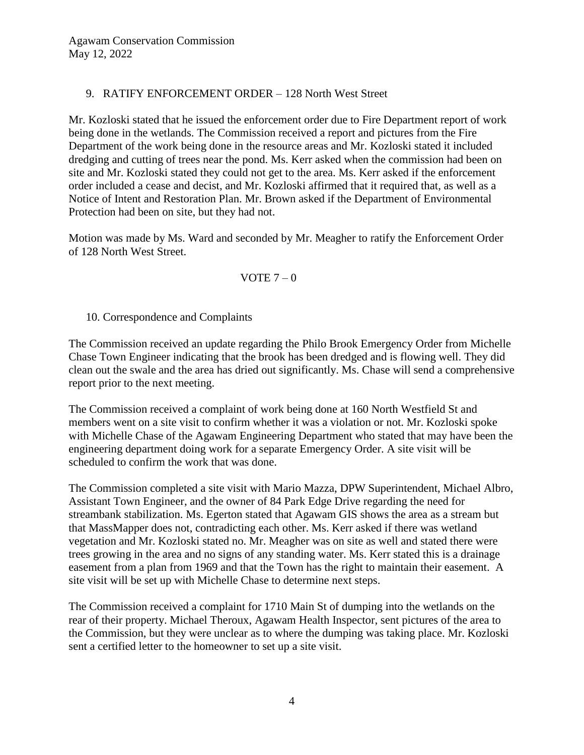# 9. RATIFY ENFORCEMENT ORDER – 128 North West Street

Mr. Kozloski stated that he issued the enforcement order due to Fire Department report of work being done in the wetlands. The Commission received a report and pictures from the Fire Department of the work being done in the resource areas and Mr. Kozloski stated it included dredging and cutting of trees near the pond. Ms. Kerr asked when the commission had been on site and Mr. Kozloski stated they could not get to the area. Ms. Kerr asked if the enforcement order included a cease and decist, and Mr. Kozloski affirmed that it required that, as well as a Notice of Intent and Restoration Plan. Mr. Brown asked if the Department of Environmental Protection had been on site, but they had not.

Motion was made by Ms. Ward and seconded by Mr. Meagher to ratify the Enforcement Order of 128 North West Street.

### VOTE  $7-0$

## 10. Correspondence and Complaints

The Commission received an update regarding the Philo Brook Emergency Order from Michelle Chase Town Engineer indicating that the brook has been dredged and is flowing well. They did clean out the swale and the area has dried out significantly. Ms. Chase will send a comprehensive report prior to the next meeting.

The Commission received a complaint of work being done at 160 North Westfield St and members went on a site visit to confirm whether it was a violation or not. Mr. Kozloski spoke with Michelle Chase of the Agawam Engineering Department who stated that may have been the engineering department doing work for a separate Emergency Order. A site visit will be scheduled to confirm the work that was done.

The Commission completed a site visit with Mario Mazza, DPW Superintendent, Michael Albro, Assistant Town Engineer, and the owner of 84 Park Edge Drive regarding the need for streambank stabilization. Ms. Egerton stated that Agawam GIS shows the area as a stream but that MassMapper does not, contradicting each other. Ms. Kerr asked if there was wetland vegetation and Mr. Kozloski stated no. Mr. Meagher was on site as well and stated there were trees growing in the area and no signs of any standing water. Ms. Kerr stated this is a drainage easement from a plan from 1969 and that the Town has the right to maintain their easement. A site visit will be set up with Michelle Chase to determine next steps.

The Commission received a complaint for 1710 Main St of dumping into the wetlands on the rear of their property. Michael Theroux, Agawam Health Inspector, sent pictures of the area to the Commission, but they were unclear as to where the dumping was taking place. Mr. Kozloski sent a certified letter to the homeowner to set up a site visit.